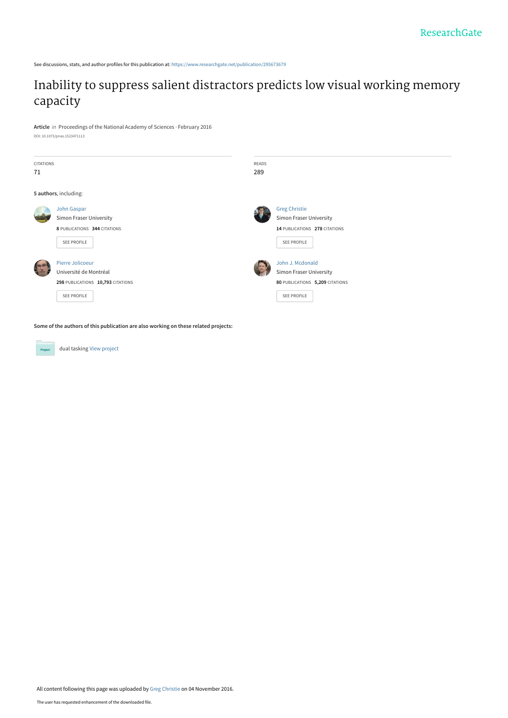See discussions, stats, and author profiles for this publication at: [https://www.researchgate.net/publication/295673679](https://www.researchgate.net/publication/295673679_Inability_to_suppress_salient_distractors_predicts_low_visual_working_memory_capacity?enrichId=rgreq-04cb82695ade425a50078ce78e1871f1-XXX&enrichSource=Y292ZXJQYWdlOzI5NTY3MzY3OTtBUzo0MjQ3NzQyMDg4ODg4MzJAMTQ3ODI4NTQ3MTkzMA%3D%3D&el=1_x_2&_esc=publicationCoverPdf)

## [Inability to suppress salient distractors predicts low visual working memory](https://www.researchgate.net/publication/295673679_Inability_to_suppress_salient_distractors_predicts_low_visual_working_memory_capacity?enrichId=rgreq-04cb82695ade425a50078ce78e1871f1-XXX&enrichSource=Y292ZXJQYWdlOzI5NTY3MzY3OTtBUzo0MjQ3NzQyMDg4ODg4MzJAMTQ3ODI4NTQ3MTkzMA%3D%3D&el=1_x_3&_esc=publicationCoverPdf) capacity

**Article** in Proceedings of the National Academy of Sciences · February 2016 DOI: 10.1073/pnas.1523471113

| <b>CITATIONS</b><br>71 |                                                                                                | READS<br>289                                                                                           |
|------------------------|------------------------------------------------------------------------------------------------|--------------------------------------------------------------------------------------------------------|
|                        | 5 authors, including:                                                                          |                                                                                                        |
|                        | John Gaspar<br><b>Simon Fraser University</b><br>8 PUBLICATIONS 344 CITATIONS<br>SEE PROFILE   | <b>Greg Christie</b><br><b>Simon Fraser University</b><br>14 PUBLICATIONS 278 CITATIONS<br>SEE PROFILE |
|                        | Pierre Jolicoeur<br>Université de Montréal<br>298 PUBLICATIONS 10,793 CITATIONS<br>SEE PROFILE | John J. Mcdonald<br><b>Simon Fraser University</b><br>80 PUBLICATIONS 5,209 CITATIONS<br>SEE PROFILE   |

**Some of the authors of this publication are also working on these related projects:**

**Project** 

dual tasking [View project](https://www.researchgate.net/project/dual-tasking?enrichId=rgreq-04cb82695ade425a50078ce78e1871f1-XXX&enrichSource=Y292ZXJQYWdlOzI5NTY3MzY3OTtBUzo0MjQ3NzQyMDg4ODg4MzJAMTQ3ODI4NTQ3MTkzMA%3D%3D&el=1_x_9&_esc=publicationCoverPdf)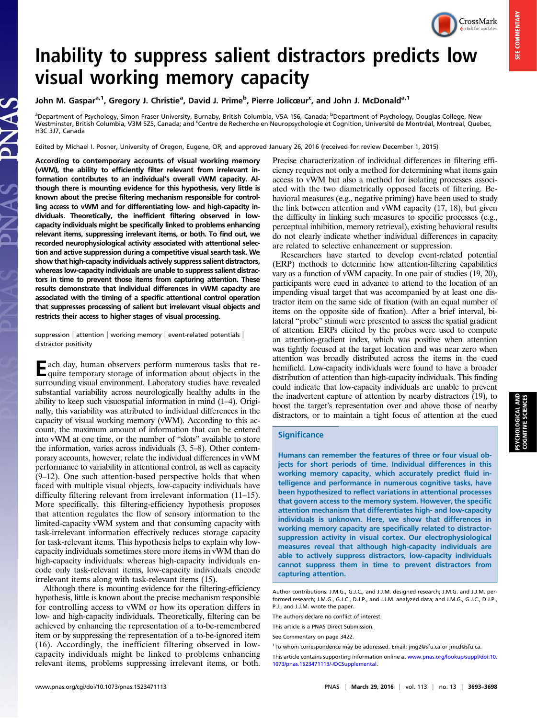# CrossMark

## Inability to suppress salient distractors predicts low visual working memory capacity

John M. Gaspar<sup>a, 1</sup>, Gregory J. Christie<sup>a</sup>, David J. Prime<sup>b</sup>, Pierre Jolicœur<sup>c</sup>, and John J. McDonald<sup>a, 1</sup>

<sup>a</sup>Department of Psychology, Simon Fraser University, Burnaby, British Columbia, V5A 1S6, Canada; <sup>b</sup>Department of Psychology, Douglas College, New Westminster, British Columbia, V3M 5Z5, Canada; and <sup>c</sup> Centre de Recherche en Neuropsychologie et Cognition, Université de Montréal, Montreal, Quebec, H3C 3J7, Canada

Edited by Michael I. Posner, University of Oregon, Eugene, OR, and approved January 26, 2016 (received for review December 1, 2015)

According to contemporary accounts of visual working memory (vWM), the ability to efficiently filter relevant from irrelevant information contributes to an individual's overall vWM capacity. Although there is mounting evidence for this hypothesis, very little is known about the precise filtering mechanism responsible for controlling access to vWM and for differentiating low- and high-capacity individuals. Theoretically, the inefficient filtering observed in lowcapacity individuals might be specifically linked to problems enhancing relevant items, suppressing irrelevant items, or both. To find out, we recorded neurophysiological activity associated with attentional selection and active suppression during a competitive visual search task. We show that high-capacity individuals actively suppress salient distractors, whereas low-capacity individuals are unable to suppress salient distractors in time to prevent those items from capturing attention. These results demonstrate that individual differences in vWM capacity are associated with the timing of a specific attentional control operation that suppresses processing of salient but irrelevant visual objects and restricts their access to higher stages of visual processing.

suppression | attention | working memory | event-related potentials | distractor positivity

Each day, human observers perform numerous tasks that re-quire temporary storage of information about objects in the surrounding visual environment. Laboratory studies have revealed substantial variability across neurologically healthy adults in the ability to keep such visuospatial information in mind (1–4). Originally, this variability was attributed to individual differences in the capacity of visual working memory (vWM). According to this account, the maximum amount of information that can be entered into vWM at one time, or the number of "slots" available to store the information, varies across individuals (3, 5–8). Other contemporary accounts, however, relate the individual differences in vWM performance to variability in attentional control, as well as capacity (9–12). One such attention-based perspective holds that when faced with multiple visual objects, low-capacity individuals have difficulty filtering relevant from irrelevant information (11–15). More specifically, this filtering-efficiency hypothesis proposes that attention regulates the flow of sensory information to the limited-capacity vWM system and that consuming capacity with task-irrelevant information effectively reduces storage capacity for task-relevant items. This hypothesis helps to explain why lowcapacity individuals sometimes store more items in vWM than do high-capacity individuals: whereas high-capacity individuals encode only task-relevant items, low-capacity individuals encode irrelevant items along with task-relevant items (15).

Although there is mounting evidence for the filtering-efficiency hypothesis, little is known about the precise mechanism responsible for controlling access to vWM or how its operation differs in low- and high-capacity individuals. Theoretically, filtering can be achieved by enhancing the representation of a to-be-remembered item or by suppressing the representation of a to-be-ignored item (16). Accordingly, the inefficient filtering observed in lowcapacity individuals might be linked to problems enhancing relevant items, problems suppressing irrelevant items, or both.

Precise characterization of individual differences in filtering efficiency requires not only a method for determining what items gain access to vWM but also a method for isolating processes associated with the two diametrically opposed facets of filtering. Behavioral measures (e.g., negative priming) have been used to study the link between attention and vWM capacity (17, 18), but given the difficulty in linking such measures to specific processes (e.g., perceptual inhibition, memory retrieval), existing behavioral results do not clearly indicate whether individual differences in capacity are related to selective enhancement or suppression.

Researchers have started to develop event-related potential (ERP) methods to determine how attention-filtering capabilities vary as a function of vWM capacity. In one pair of studies (19, 20), participants were cued in advance to attend to the location of an impending visual target that was accompanied by at least one distractor item on the same side of fixation (with an equal number of items on the opposite side of fixation). After a brief interval, bilateral "probe" stimuli were presented to assess the spatial gradient of attention. ERPs elicited by the probes were used to compute an attention-gradient index, which was positive when attention was tightly focused at the target location and was near zero when attention was broadly distributed across the items in the cued hemifield. Low-capacity individuals were found to have a broader distribution of attention than high-capacity individuals. This finding could indicate that low-capacity individuals are unable to prevent the inadvertent capture of attention by nearby distractors (19), to boost the target's representation over and above those of nearby distractors, or to maintain a tight focus of attention at the cued

## **Significance**

Humans can remember the features of three or four visual objects for short periods of time. Individual differences in this working memory capacity, which accurately predict fluid intelligence and performance in numerous cognitive tasks, have been hypothesized to reflect variations in attentional processes that govern access to the memory system. However, the specific attention mechanism that differentiates high- and low-capacity individuals is unknown. Here, we show that differences in working memory capacity are specifically related to distractorsuppression activity in visual cortex. Our electrophysiological measures reveal that although high-capacity individuals are able to actively suppress distractors, low-capacity individuals cannot suppress them in time to prevent distractors from capturing attention.

PSYCHOLOGICAL AND COGNITIVE SCIENCES

SYCHOLOGICAL AND<br>COGNITIVE SCIENCES

Author contributions: J.M.G., G.J.C., and J.J.M. designed research; J.M.G. and J.J.M. performed research; J.M.G., G.J.C., D.J.P., and J.J.M. analyzed data; and J.M.G., G.J.C., D.J.P., P.J., and J.J.M. wrote the paper.

The authors declare no conflict of interest.

This article is a PNAS Direct Submission.

See Commentary on page 3422.

<sup>&</sup>lt;sup>1</sup>To whom correspondence may be addressed. Email: [jmg2@sfu.ca](mailto:jmg2@sfu.ca) or [jmcd@sfu.ca](mailto:jmcd@sfu.ca).

This article contains supporting information online at [www.pnas.org/lookup/suppl/doi:10.](http://www.pnas.org/lookup/suppl/doi:10.1073/pnas.1523471113/-/DCSupplemental) [1073/pnas.1523471113/-/DCSupplemental](http://www.pnas.org/lookup/suppl/doi:10.1073/pnas.1523471113/-/DCSupplemental).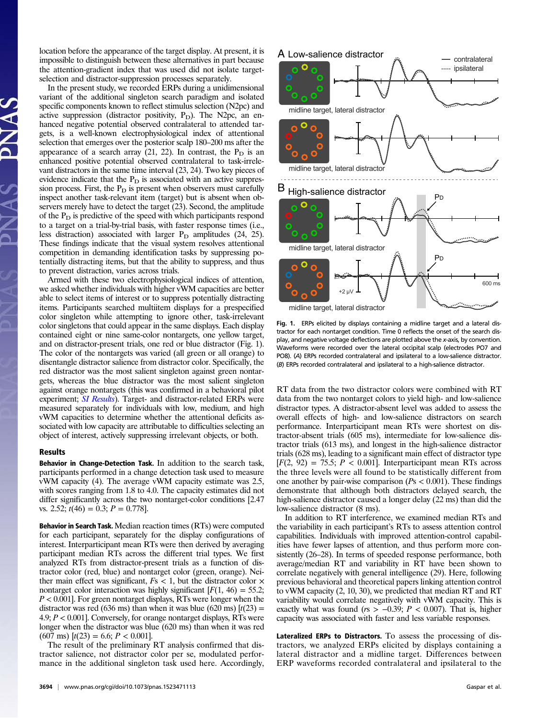location before the appearance of the target display. At present, it is impossible to distinguish between these alternatives in part because the attention-gradient index that was used did not isolate targetselection and distractor-suppression processes separately.

In the present study, we recorded ERPs during a unidimensional variant of the additional singleton search paradigm and isolated specific components known to reflect stimulus selection (N2pc) and active suppression (distractor positivity,  $P_D$ ). The N2pc, an enhanced negative potential observed contralateral to attended targets, is a well-known electrophysiological index of attentional selection that emerges over the posterior scalp 180–200 ms after the appearance of a search array (21, 22). In contrast, the  $P_D$  is an enhanced positive potential observed contralateral to task-irrelevant distractors in the same time interval (23, 24). Two key pieces of evidence indicate that the  $P_D$  is associated with an active suppression process. First, the  $P_D$  is present when observers must carefully inspect another task-relevant item (target) but is absent when observers merely have to detect the target (23). Second, the amplitude of the  $P_D$  is predictive of the speed with which participants respond to a target on a trial-by-trial basis, with faster response times (i.e., less distraction) associated with larger  $P_D$  amplitudes (24, 25). These findings indicate that the visual system resolves attentional competition in demanding identification tasks by suppressing potentially distracting items, but that the ability to suppress, and thus to prevent distraction, varies across trials.

Armed with these two electrophysiological indices of attention, we asked whether individuals with higher vWM capacities are better able to select items of interest or to suppress potentially distracting items. Participants searched multiitem displays for a prespecified color singleton while attempting to ignore other, task-irrelevant color singletons that could appear in the same displays. Each display contained eight or nine same-color nontargets, one yellow target, and on distractor-present trials, one red or blue distractor (Fig. 1). The color of the nontargets was varied (all green or all orange) to disentangle distractor salience from distractor color. Specifically, the red distractor was the most salient singleton against green nontargets, whereas the blue distractor was the most salient singleton against orange nontargets (this was confirmed in a behavioral pilot experiment; [SI Results](http://www.pnas.org/lookup/suppl/doi:10.1073/pnas.1523471113/-/DCSupplemental/pnas.201523471SI.pdf?targetid=nameddest=STXT)). Target- and distractor-related ERPs were measured separately for individuals with low, medium, and high vWM capacities to determine whether the attentional deficits associated with low capacity are attributable to difficulties selecting an object of interest, actively suppressing irrelevant objects, or both.

### Results

Behavior in Change-Detection Task. In addition to the search task, participants performed in a change detection task used to measure vWM capacity (4). The average vWM capacity estimate was 2.5, with scores ranging from 1.8 to 4.0. The capacity estimates did not differ significantly across the two nontarget-color conditions [2.47 vs. 2.52;  $t(46) = 0.3; P = 0.778$ .

Behavior in Search Task. Median reaction times (RTs) were computed for each participant, separately for the display configurations of interest. Interparticipant mean RTs were then derived by averaging participant median RTs across the different trial types. We first analyzed RTs from distractor-present trials as a function of distractor color (red, blue) and nontarget color (green, orange). Neither main effect was significant,  $Fs < 1$ , but the distractor color  $\times$ nontarget color interaction was highly significant  $[F(1, 46) = 55.2;$  $P < 0.001$ . For green nontarget displays, RTs were longer when the distractor was red (636 ms) than when it was blue (620 ms)  $[t(23) =$ 4.9;  $P < 0.001$ ]. Conversely, for orange nontarget displays, RTs were longer when the distractor was blue (620 ms) than when it was red  $(607 \text{ ms})$   $[t(23) = 6.6; P < 0.001]$ .

The result of the preliminary RT analysis confirmed that distractor salience, not distractor color per se, modulated performance in the additional singleton task used here. Accordingly,



Fig. 1. ERPs elicited by displays containing a midline target and a lateral distractor for each nontarget condition. Time 0 reflects the onset of the search display, and negative voltage deflections are plotted above the x-axis, by convention. Waveforms were recorded over the lateral occipital scalp (electrodes PO7 and PO8). (A) ERPs recorded contralateral and ipsilateral to a low-salience distractor. (B) ERPs recorded contralateral and ipsilateral to a high-salience distractor.

RT data from the two distractor colors were combined with RT data from the two nontarget colors to yield high- and low-salience distractor types. A distractor-absent level was added to assess the overall effects of high- and low-salience distractors on search performance. Interparticipant mean RTs were shortest on distractor-absent trials (605 ms), intermediate for low-salience distractor trials (613 ms), and longest in the high-salience distractor trials (628 ms), leading to a significant main effect of distractor type  $[F(2, 92) = 75.5; P < 0.001]$ . Interparticipant mean RTs across the three levels were all found to be statistically different from one another by pair-wise comparison ( $Ps < 0.001$ ). These findings demonstrate that although both distractors delayed search, the high-salience distractor caused a longer delay (22 ms) than did the low-salience distractor (8 ms).

In addition to RT interference, we examined median RTs and the variability in each participant's RTs to assess attention control capabilities. Individuals with improved attention-control capabilities have fewer lapses of attention, and thus perform more consistently (26–28). In terms of speeded response performance, both average/median RT and variability in RT have been shown to correlate negatively with general intelligence (29). Here, following previous behavioral and theoretical papers linking attention control to vWM capacity (2, 10, 30), we predicted that median RT and RT variability would correlate negatively with vWM capacity. This is exactly what was found ( $rs > -0.39$ ;  $P < 0.007$ ). That is, higher capacity was associated with faster and less variable responses.

Lateralized ERPs to Distractors. To assess the processing of distractors, we analyzed ERPs elicited by displays containing a lateral distractor and a midline target. Differences between ERP waveforms recorded contralateral and ipsilateral to the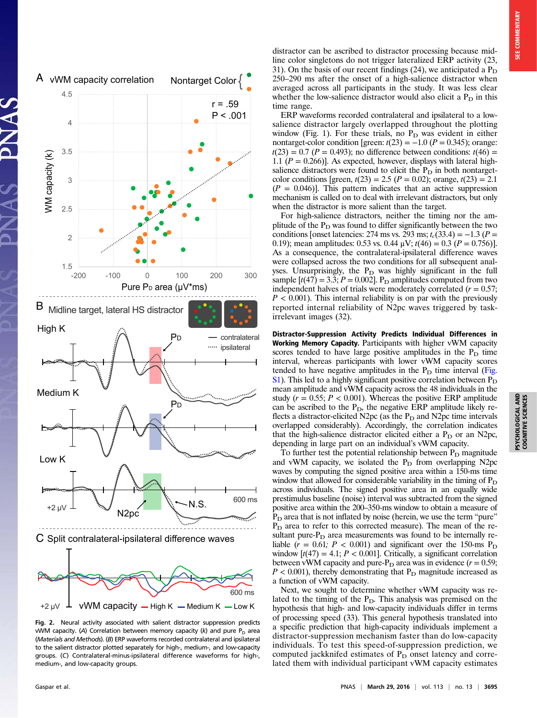

Fig. 2. Neural activity associated with salient distractor suppression predicts vWM capacity. (A) Correlation between memory capacity ( $k$ ) and pure  $P_D$  area (Materials and Methods). (B) ERP waveforms recorded contralateral and ipsilateral to the salient distractor plotted separately for high-, medium-, and low-capacity groups. (C) Contralateral-minus-ipsilateral difference waveforms for high-, medium-, and low-capacity groups.

distractor can be ascribed to distractor processing because midline color singletons do not trigger lateralized ERP activity (23, 31). On the basis of our recent findings (24), we anticipated a  $P_D$ 250–290 ms after the onset of a high-salience distractor when averaged across all participants in the study. It was less clear whether the low-salience distractor would also elicit a  $P_D$  in this time range.

ERP waveforms recorded contralateral and ipsilateral to a lowsalience distractor largely overlapped throughout the plotting window (Fig. 1). For these trials, no  $P_D$  was evident in either nontarget-color condition [green:  $t(23) = -1.0$  ( $P = 0.345$ ); orange:  $t(23) = 0.7 (P = 0.493)$ ; no difference between conditions:  $t(46) =$ 1.1 ( $P = 0.266$ )]. As expected, however, displays with lateral highsalience distractors were found to elicit the  $P_D$  in both nontargetcolor conditions [green,  $t(23) = 2.5$  ( $P = 0.02$ ); orange,  $t(23) = 2.1$  $(P = 0.046)$ ]. This pattern indicates that an active suppression mechanism is called on to deal with irrelevant distractors, but only when the distractor is more salient than the target.

For high-salience distractors, neither the timing nor the amplitude of the  $P_D$  was found to differ significantly between the two conditions [onset latencies: 274 ms vs. 293 ms;  $t_c(33.4) = -1.3$  (P = 0.19); mean amplitudes: 0.53 vs. 0.44  $\mu$ V;  $t(46) = 0.3$  ( $P = 0.756$ )]. As a consequence, the contralateral-ipsilateral difference waves were collapsed across the two conditions for all subsequent analyses. Unsurprisingly, the  $P_D$  was highly significant in the full sample  $[t(47) = 3.3; P = 0.002]$ . P<sub>D</sub> amplitudes computed from two independent halves of trials were moderately correlated  $(r = 0.57)$ ;  $P < 0.001$ ). This internal reliability is on par with the previously reported internal reliability of N2pc waves triggered by taskirrelevant images (32).

Distractor-Suppression Activity Predicts Individual Differences in Working Memory Capacity. Participants with higher vWM capacity scores tended to have large positive amplitudes in the  $P_D$  time interval, whereas participants with lower vWM capacity scores tended to have negative amplitudes in the  $P_D$  time interval [\(Fig.](http://www.pnas.org/lookup/suppl/doi:10.1073/pnas.1523471113/-/DCSupplemental/pnas.201523471SI.pdf?targetid=nameddest=SF1)  $\mathbf{S}$ 1). This led to a highly significant positive correlation between  $P_{\rm D}$ mean amplitude and vWM capacity across the 48 individuals in the study ( $r = 0.55$ ;  $P < 0.001$ ). Whereas the positive ERP amplitude can be ascribed to the  $P_D$ , the negative ERP amplitude likely reflects a distractor-elicited N2pc (as the  $P_D$  and N2pc time intervals overlapped considerably). Accordingly, the correlation indicates that the high-salience distractor elicited either a  $P_D$  or an N2pc, depending in large part on an individual's vWM capacity.

To further test the potential relationship between  $P_D$  magnitude and vWM capacity, we isolated the  $P_D$  from overlapping N2pc waves by computing the signed positive area within a 150-ms time window that allowed for considerable variability in the timing of  $P_D$ across individuals. The signed positive area in an equally wide prestimulus baseline (noise) interval was subtracted from the signed positive area within the 200–350-ms window to obtain a measure of  $P<sub>D</sub>$  area that is not inflated by noise (herein, we use the term "pure"  $P<sub>D</sub>$  area to refer to this corrected measure). The mean of the resultant pure- $P_D$  area measurements was found to be internally reliable ( $r = 0.61$ ;  $P < 0.001$ ) and significant over the 150-ms  $P_D$ window  $[t(47) = 4.1; P < 0.001]$ . Critically, a significant correlation between vWM capacity and pure- $P_D$  area was in evidence ( $r = 0.59$ ;  $P < 0.001$ ), thereby demonstrating that  $P_D$  magnitude increased as a function of vWM capacity.

Next, we sought to determine whether vWM capacity was related to the timing of the  $P<sub>D</sub>$ . This analysis was premised on the hypothesis that high- and low-capacity individuals differ in terms of processing speed (33). This general hypothesis translated into a specific prediction that high-capacity individuals implement a distractor-suppression mechanism faster than do low-capacity individuals. To test this speed-of-suppression prediction, we computed jackknifed estimates of  $P_D$  onset latency and correlated them with individual participant vWM capacity estimates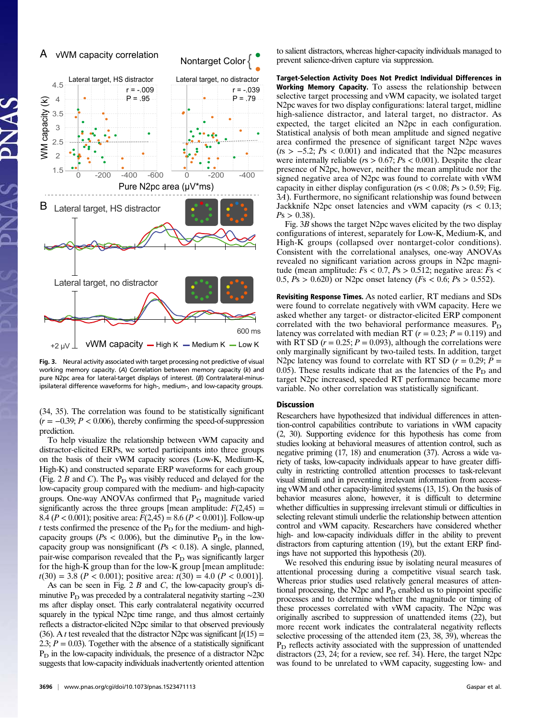

Fig. 3. Neural activity associated with target processing not predictive of visual working memory capacity. (A) Correlation between memory capacity (k) and pure N2pc area for lateral-target displays of interest. (B) Contralateral-minusipsilateral difference waveforms for high-, medium-, and low-capacity groups.

(34, 35). The correlation was found to be statistically significant  $(r = -0.39; P < 0.006)$ , thereby confirming the speed-of-suppression prediction.

To help visualize the relationship between vWM capacity and distractor-elicited ERPs, we sorted participants into three groups on the basis of their vWM capacity scores (Low-K, Medium-K, High-K) and constructed separate ERP waveforms for each group (Fig. 2 B and C). The  $P_D$  was visibly reduced and delayed for the low-capacity group compared with the medium- and high-capacity groups. One-way ANOVAs confirmed that  $P_D$  magnitude varied significantly across the three groups [mean amplitude:  $F(2,45) =$ 8.4 ( $P < 0.001$ ); positive area:  $F(2,45) = 8.6$  ( $P < 0.001$ )]. Follow-up t tests confirmed the presence of the  $P<sub>D</sub>$  for the medium- and highcapacity groups ( $Ps < 0.006$ ), but the diminutive  $P_D$  in the lowcapacity group was nonsignificant ( $Ps < 0.18$ ). A single, planned, pair-wise comparison revealed that the  $P_D$  was significantly larger for the high-K group than for the low-K group [mean amplitude:  $t(30) = 3.8$  ( $P < 0.001$ ); positive area:  $t(30) = 4.0$  ( $P < 0.001$ )].

As can be seen in Fig. 2  $B$  and  $C$ , the low-capacity group's diminutive P<sub>D</sub> was preceded by a contralateral negativity starting  $\sim$ 230 ms after display onset. This early contralateral negativity occurred squarely in the typical N2pc time range, and thus almost certainly reflects a distractor-elicited N2pc similar to that observed previously (36). A t test revealed that the distractor N2pc was significant  $[t(15) =$ 2.3;  $P = 0.03$ ). Together with the absence of a statistically significant  $P_D$  in the low-capacity individuals, the presence of a distractor N2pc suggests that low-capacity individuals inadvertently oriented attention

to salient distractors, whereas higher-capacity individuals managed to prevent salience-driven capture via suppression.

Target-Selection Activity Does Not Predict Individual Differences in Working Memory Capacity. To assess the relationship between selective target processing and vWM capacity, we isolated target N2pc waves for two display configurations: lateral target, midline high-salience distractor, and lateral target, no distractor. As expected, the target elicited an N2pc in each configuration. Statistical analysis of both mean amplitude and signed negative area confirmed the presence of significant target N2pc waves  $(ts > -5.2; P_s < 0.001)$  and indicated that the N2pc measures were internally reliable ( $rs > 0.67$ ;  $Ps < 0.001$ ). Despite the clear presence of N2pc, however, neither the mean amplitude nor the signed negative area of N2pc was found to correlate with vWM capacity in either display configuration ( $rs < 0.08$ ;  $Ps > 0.59$ ; Fig. 3A). Furthermore, no significant relationship was found between Jackknife N2pc onset latencies and vWM capacity ( $rs < 0.13$ ;  $Ps > 0.38$ ).

Fig. 3B shows the target N2pc waves elicited by the two display configurations of interest, separately for Low-K, Medium-K, and High-K groups (collapsed over nontarget-color conditions). Consistent with the correlational analyses, one-way ANOVAs revealed no significant variation across groups in N2pc magnitude (mean amplitude:  $Fs < 0.7$ ,  $Ps > 0.512$ ; negative area:  $Fs <$ 0.5,  $Ps > 0.620$  or N2pc onset latency ( $Fs < 0.6; Ps > 0.552$ ).

Revisiting Response Times. As noted earlier, RT medians and SDs were found to correlate negatively with vWM capacity. Here we asked whether any target- or distractor-elicited ERP component correlated with the two behavioral performance measures.  $P_D$ latency was correlated with median RT ( $r = 0.23$ ;  $P = 0.119$ ) and with RT SD  $(r = 0.25; P = 0.093)$ , although the correlations were only marginally significant by two-tailed tests. In addition, target N2pc latency was found to correlate with RT SD ( $r = 0.29$ ;  $P =$ 0.05). These results indicate that as the latencies of the  $P_D$  and target N2pc increased, speeded RT performance became more variable. No other correlation was statistically significant.

### **Discussion**

Researchers have hypothesized that individual differences in attention-control capabilities contribute to variations in vWM capacity (2, 30). Supporting evidence for this hypothesis has come from studies looking at behavioral measures of attention control, such as negative priming (17, 18) and enumeration (37). Across a wide variety of tasks, low-capacity individuals appear to have greater difficulty in restricting controlled attention processes to task-relevant visual stimuli and in preventing irrelevant information from accessing vWM and other capacity-limited systems (13, 15). On the basis of behavior measures alone, however, it is difficult to determine whether difficulties in suppressing irrelevant stimuli or difficulties in selecting relevant stimuli underlie the relationship between attention control and vWM capacity. Researchers have considered whether high- and low-capacity individuals differ in the ability to prevent distractors from capturing attention (19), but the extant ERP findings have not supported this hypothesis (20).

We resolved this enduring issue by isolating neural measures of attentional processing during a competitive visual search task. Whereas prior studies used relatively general measures of attentional processing, the N2pc and  $P_D$  enabled us to pinpoint specific processes and to determine whether the magnitude or timing of these processes correlated with vWM capacity. The N2pc was originally ascribed to suppression of unattended items (22), but more recent work indicates the contralateral negativity reflects selective processing of the attended item (23, 38, 39), whereas the  $P<sub>D</sub>$  reflects activity associated with the suppression of unattended distractors (23, 24; for a review, see ref. 34). Here, the target N2pc was found to be unrelated to vWM capacity, suggesting low- and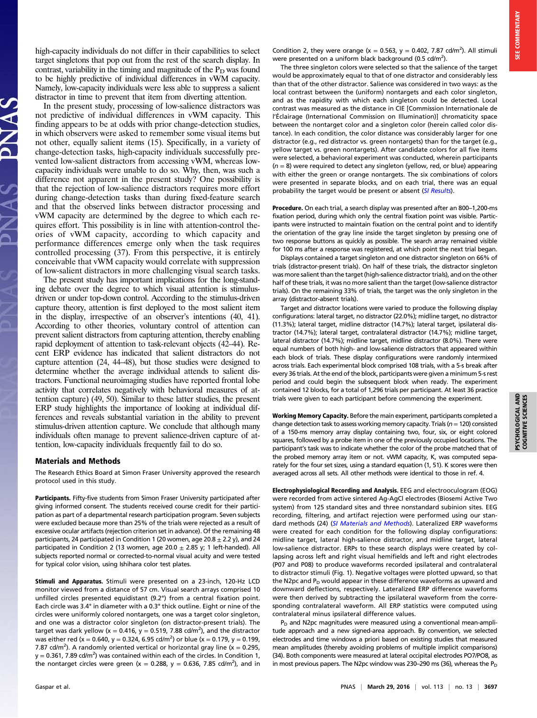high-capacity individuals do not differ in their capabilities to select target singletons that pop out from the rest of the search display. In contrast, variability in the timing and magnitude of the  $P_D$  was found to be highly predictive of individual differences in vWM capacity. Namely, low-capacity individuals were less able to suppress a salient distractor in time to prevent that item from diverting attention.

In the present study, processing of low-salience distractors was not predictive of individual differences in vWM capacity. This finding appears to be at odds with prior change-detection studies, in which observers were asked to remember some visual items but not other, equally salient items (15). Specifically, in a variety of change-detection tasks, high-capacity individuals successfully prevented low-salient distractors from accessing vWM, whereas lowcapacity individuals were unable to do so. Why, then, was such a difference not apparent in the present study? One possibility is that the rejection of low-salience distractors requires more effort during change-detection tasks than during fixed-feature search and that the observed links between distractor processing and vWM capacity are determined by the degree to which each requires effort. This possibility is in line with attention-control theories of vWM capacity, according to which capacity and performance differences emerge only when the task requires controlled processing (37). From this perspective, it is entirely conceivable that vWM capacity would correlate with suppression of low-salient distractors in more challenging visual search tasks.

The present study has important implications for the long-standing debate over the degree to which visual attention is stimulusdriven or under top-down control. According to the stimulus-driven capture theory, attention is first deployed to the most salient item in the display, irrespective of an observer's intentions (40, 41). According to other theories, voluntary control of attention can prevent salient distractors from capturing attention, thereby enabling rapid deployment of attention to task-relevant objects (42–44). Recent ERP evidence has indicated that salient distractors do not capture attention (24, 44–48), but those studies were designed to determine whether the average individual attends to salient distractors. Functional neuroimaging studies have reported frontal lobe activity that correlates negatively with behavioral measures of attention capture) (49, 50). Similar to these latter studies, the present ERP study highlights the importance of looking at individual differences and reveals substantial variation in the ability to prevent stimulus-driven attention capture. We conclude that although many individuals often manage to prevent salience-driven capture of attention, low-capacity individuals frequently fail to do so.

#### Materials and Methods

The Research Ethics Board at Simon Fraser University approved the research protocol used in this study.

Participants. Fifty-five students from Simon Fraser University participated after giving informed consent. The students received course credit for their participation as part of a departmental research participation program. Seven subjects were excluded because more than 25% of the trials were rejected as a result of excessive ocular artifacts (rejection criterion set in advance). Of the remaining 48 participants, 24 participated in Condition 1 (20 women, age 20.8  $\pm$  2.2 y), and 24 participated in Condition 2 (13 women, age 20.0  $\pm$  2.85 y; 1 left-handed). All subjects reported normal or corrected-to-normal visual acuity and were tested for typical color vision, using Ishihara color test plates.

Stimuli and Apparatus. Stimuli were presented on a 23-inch, 120-Hz LCD monitor viewed from a distance of 57 cm. Visual search arrays comprised 10 unfilled circles presented equidistant (9.2°) from a central fixation point. Each circle was 3.4° in diameter with a 0.3° thick outline. Eight or nine of the circles were uniformly colored nontargets, one was a target color singleton, and one was a distractor color singleton (on distractor-present trials). The target was dark yellow (x = 0.416, y = 0.519, 7.88 cd/m<sup>2</sup>), and the distractor was either red (x = 0.640, y = 0.324, 6.95 cd/m<sup>2</sup>) or blue (x = 0.179, y = 0.199, 7.87 cd/m<sup>2</sup>). A randomly oriented vertical or horizontal gray line (x = 0.295,  $y = 0.361$ , 7.89 cd/m<sup>2</sup>) was contained within each of the circles. In Condition 1, the nontarget circles were green (x = 0.288, y = 0.636, 7.85 cd/m<sup>2</sup>), and in

Condition 2, they were orange ( $x = 0.563$ ,  $y = 0.402$ , 7.87 cd/m<sup>2</sup>). All stimuli were presented on a uniform black background (0.5 cd/m<sup>2</sup>).

The three singleton colors were selected so that the salience of the target would be approximately equal to that of one distractor and considerably less than that of the other distractor. Salience was considered in two ways: as the local contrast between the (uniform) nontargets and each color singleton, and as the rapidity with which each singleton could be detected. Local contrast was measured as the distance in CIE [Commission Internationale de l'Éclairage (International Commission on Illumination)] chromaticity space between the nontarget color and a singleton color (herein called color distance). In each condition, the color distance was considerably larger for one distractor (e.g., red distractor vs. green nontargets) than for the target (e.g., yellow target vs. green nontargets). After candidate colors for all five items were selected, a behavioral experiment was conducted, wherein participants  $(n = 8)$  were required to detect any singleton (yellow, red, or blue) appearing with either the green or orange nontargets. The six combinations of colors were presented in separate blocks, and on each trial, there was an equal probability the target would be present or absent ([SI Results](http://www.pnas.org/lookup/suppl/doi:10.1073/pnas.1523471113/-/DCSupplemental/pnas.201523471SI.pdf?targetid=nameddest=STXT)).

Procedure. On each trial, a search display was presented after an 800–1,200-ms fixation period, during which only the central fixation point was visible. Participants were instructed to maintain fixation on the central point and to identify the orientation of the gray line inside the target singleton by pressing one of two response buttons as quickly as possible. The search array remained visible for 100 ms after a response was registered, at which point the next trial began.

Displays contained a target singleton and one distractor singleton on 66% of trials (distractor-present trials). On half of these trials, the distractor singleton was more salient than the target (high-salience distractor trials), and on the other half of these trials, it was no more salient than the target (low-salience distractor trials). On the remaining 33% of trials, the target was the only singleton in the array (distractor-absent trials).

Target and distractor locations were varied to produce the following display configurations: lateral target, no distractor (22.0%); midline target, no distractor (11.3%); lateral target, midline distractor (14.7%); lateral target, ipsilateral distractor (14.7%); lateral target, contralateral distractor (14.7%); midline target, lateral distractor (14.7%); midline target, midline distractor (8.0%). There were equal numbers of both high- and low-salience distractors that appeared within each block of trials. These display configurations were randomly intermixed across trials. Each experimental block comprised 108 trials, with a 5-s break after every 36 trials. At the end of the block, participants were given a minimum 5-s rest period and could begin the subsequent block when ready. The experiment contained 12 blocks, for a total of 1,296 trials per participant. At least 36 practice trials were given to each participant before commencing the experiment.

Working Memory Capacity. Before the main experiment, participants completed a change detection task to assess working memory capacity. Trials ( $n=120$ ) consisted of a 150-ms memory array display containing two, four, six, or eight colored squares, followed by a probe item in one of the previously occupied locations. The participant's task was to indicate whether the color of the probe matched that of the probed memory array item or not. vWM capacity, K, was computed separately for the four set sizes, using a standard equation (1, 51). K scores were then averaged across all sets. All other methods were identical to those in ref. 4.

Electrophysiological Recording and Analysis. EEG and electrooculogram (EOG) were recorded from active sintered Ag-AgCl electrodes (Biosemi Active Two system) from 125 standard sites and three nonstandard subinion sites. EEG recording, filtering, and artifact rejection were performed using our stan-dard methods (24) ([SI Materials and Methods](http://www.pnas.org/lookup/suppl/doi:10.1073/pnas.1523471113/-/DCSupplemental/pnas.201523471SI.pdf?targetid=nameddest=STXT)). Lateralized ERP waveforms were created for each condition for the following display configurations: midline target, lateral high-salience distractor, and midline target, lateral low-salience distractor. ERPs to these search displays were created by collapsing across left and right visual hemifields and left and right electrodes (P07 and P08) to produce waveforms recorded ipsilateral and contralateral to distractor stimuli (Fig. 1). Negative voltages were plotted upward, so that the N2pc and  $P_D$  would appear in these difference waveforms as upward and downward deflections, respectively. Lateralized ERP difference waveforms were then derived by subtracting the ipsilateral waveform from the corresponding contralateral waveform. All ERP statistics were computed using contralateral minus ipsilateral difference values.

 $P_D$  and N2pc magnitudes were measured using a conventional mean-amplitude approach and a new signed-area approach. By convention, we selected electrodes and time windows a priori based on existing studies that measured mean amplitudes (thereby avoiding problems of multiple implicit comparisons) (34). Both components were measured at lateral occipital electrodes PO7/PO8, as in most previous papers. The N2pc window was 230–290 ms (36), whereas the  $P_D$